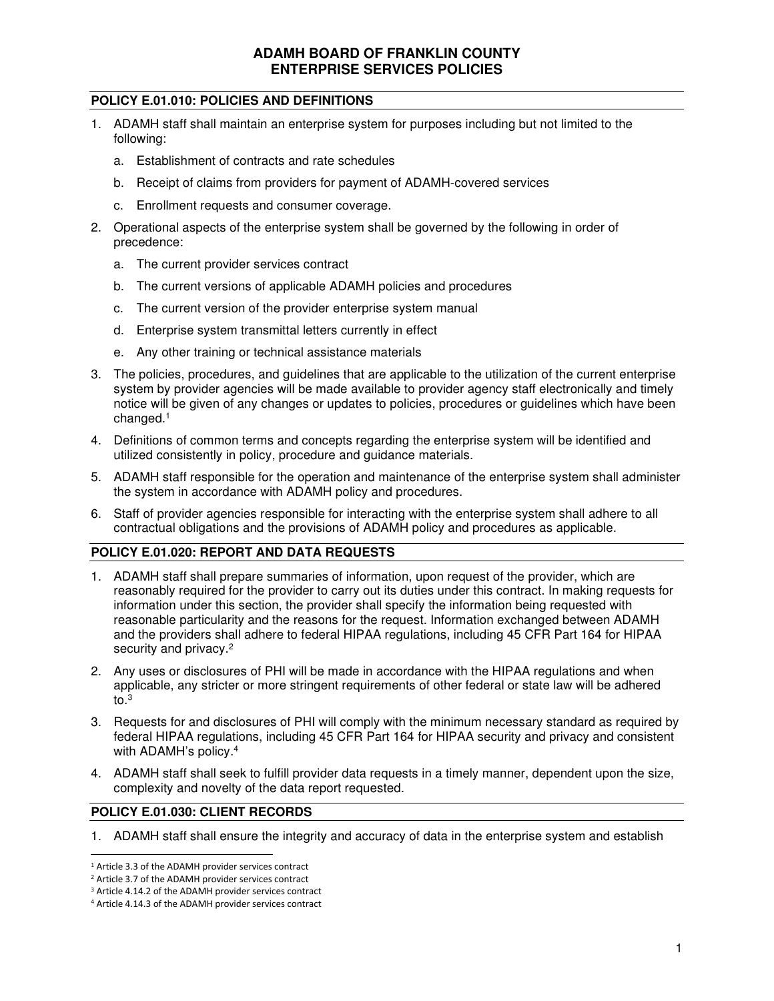### **POLICY E.01.010: POLICIES AND DEFINITIONS**

- 1. ADAMH staff shall maintain an enterprise system for purposes including but not limited to the following:
	- a. Establishment of contracts and rate schedules
	- b. Receipt of claims from providers for payment of ADAMH-covered services
	- c. Enrollment requests and consumer coverage.
- 2. Operational aspects of the enterprise system shall be governed by the following in order of precedence:
	- a. The current provider services contract
	- b. The current versions of applicable ADAMH policies and procedures
	- c. The current version of the provider enterprise system manual
	- d. Enterprise system transmittal letters currently in effect
	- e. Any other training or technical assistance materials
- 3. The policies, procedures, and guidelines that are applicable to the utilization of the current enterprise system by provider agencies will be made available to provider agency staff electronically and timely notice will be given of any changes or updates to policies, procedures or guidelines which have been changed.<sup>1</sup>
- 4. Definitions of common terms and concepts regarding the enterprise system will be identified and utilized consistently in policy, procedure and guidance materials.
- 5. ADAMH staff responsible for the operation and maintenance of the enterprise system shall administer the system in accordance with ADAMH policy and procedures.
- 6. Staff of provider agencies responsible for interacting with the enterprise system shall adhere to all contractual obligations and the provisions of ADAMH policy and procedures as applicable.

#### **POLICY E.01.020: REPORT AND DATA REQUESTS**

- 1. ADAMH staff shall prepare summaries of information, upon request of the provider, which are reasonably required for the provider to carry out its duties under this contract. In making requests for information under this section, the provider shall specify the information being requested with reasonable particularity and the reasons for the request. Information exchanged between ADAMH and the providers shall adhere to federal HIPAA regulations, including 45 CFR Part 164 for HIPAA security and privacy.<sup>2</sup>
- 2. Any uses or disclosures of PHI will be made in accordance with the HIPAA regulations and when applicable, any stricter or more stringent requirements of other federal or state law will be adhered to. $3$
- 3. Requests for and disclosures of PHI will comply with the minimum necessary standard as required by federal HIPAA regulations, including 45 CFR Part 164 for HIPAA security and privacy and consistent with ADAMH's policy.<sup>4</sup>
- 4. ADAMH staff shall seek to fulfill provider data requests in a timely manner, dependent upon the size, complexity and novelty of the data report requested.

#### **POLICY E.01.030: CLIENT RECORDS**

1. ADAMH staff shall ensure the integrity and accuracy of data in the enterprise system and establish

<sup>&</sup>lt;sup>1</sup> Article 3.3 of the ADAMH provider services contract

<sup>&</sup>lt;sup>2</sup> Article 3.7 of the ADAMH provider services contract

<sup>&</sup>lt;sup>3</sup> Article 4.14.2 of the ADAMH provider services contract

<sup>4</sup> Article 4.14.3 of the ADAMH provider services contract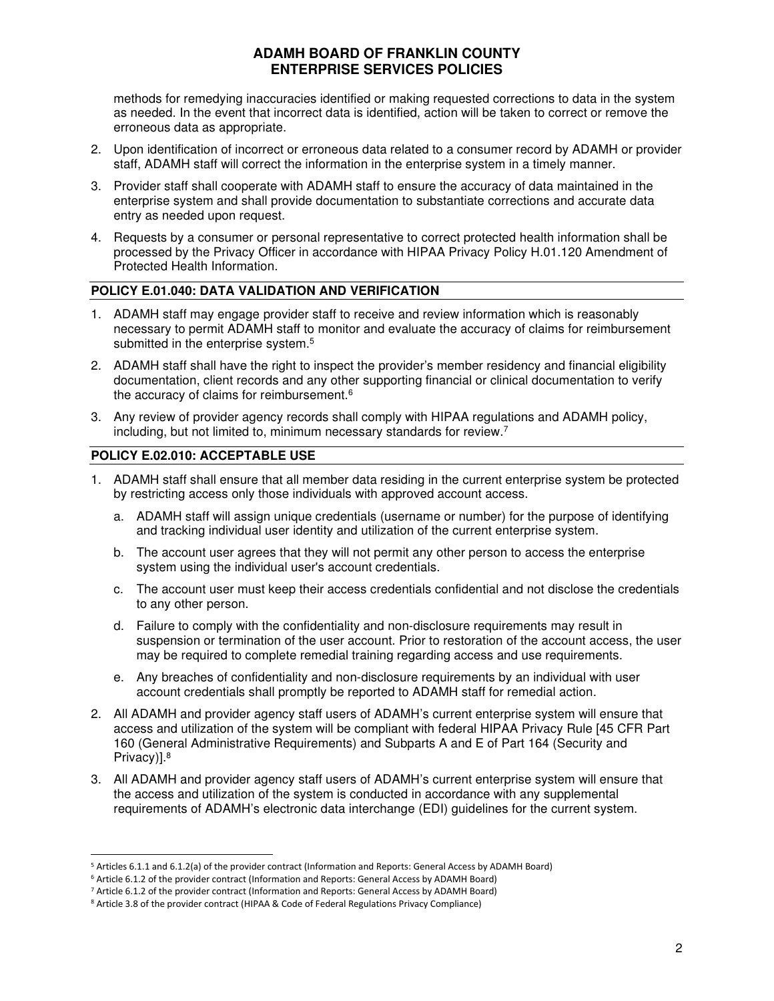methods for remedying inaccuracies identified or making requested corrections to data in the system as needed. In the event that incorrect data is identified, action will be taken to correct or remove the erroneous data as appropriate.

- 2. Upon identification of incorrect or erroneous data related to a consumer record by ADAMH or provider staff, ADAMH staff will correct the information in the enterprise system in a timely manner.
- 3. Provider staff shall cooperate with ADAMH staff to ensure the accuracy of data maintained in the enterprise system and shall provide documentation to substantiate corrections and accurate data entry as needed upon request.
- 4. Requests by a consumer or personal representative to correct protected health information shall be processed by the Privacy Officer in accordance with HIPAA Privacy Policy H.01.120 Amendment of Protected Health Information.

#### **POLICY E.01.040: DATA VALIDATION AND VERIFICATION**

- 1. ADAMH staff may engage provider staff to receive and review information which is reasonably necessary to permit ADAMH staff to monitor and evaluate the accuracy of claims for reimbursement submitted in the enterprise system.<sup>5</sup>
- 2. ADAMH staff shall have the right to inspect the provider's member residency and financial eligibility documentation, client records and any other supporting financial or clinical documentation to verify the accuracy of claims for reimbursement.<sup>6</sup>
- 3. Any review of provider agency records shall comply with HIPAA regulations and ADAMH policy, including, but not limited to, minimum necessary standards for review.<sup>7</sup>

### **POLICY E.02.010: ACCEPTABLE USE**

- 1. ADAMH staff shall ensure that all member data residing in the current enterprise system be protected by restricting access only those individuals with approved account access.
	- a. ADAMH staff will assign unique credentials (username or number) for the purpose of identifying and tracking individual user identity and utilization of the current enterprise system.
	- b. The account user agrees that they will not permit any other person to access the enterprise system using the individual user's account credentials.
	- c. The account user must keep their access credentials confidential and not disclose the credentials to any other person.
	- d. Failure to comply with the confidentiality and non-disclosure requirements may result in suspension or termination of the user account. Prior to restoration of the account access, the user may be required to complete remedial training regarding access and use requirements.
	- e. Any breaches of confidentiality and non-disclosure requirements by an individual with user account credentials shall promptly be reported to ADAMH staff for remedial action.
- 2. All ADAMH and provider agency staff users of ADAMH's current enterprise system will ensure that access and utilization of the system will be compliant with federal HIPAA Privacy Rule [45 CFR Part 160 (General Administrative Requirements) and Subparts A and E of Part 164 (Security and Privacy)].<sup>8</sup>
- 3. All ADAMH and provider agency staff users of ADAMH's current enterprise system will ensure that the access and utilization of the system is conducted in accordance with any supplemental requirements of ADAMH's electronic data interchange (EDI) guidelines for the current system.

<sup>&</sup>lt;sup>5</sup> Articles 6.1.1 and 6.1.2(a) of the provider contract (Information and Reports: General Access by ADAMH Board)

<sup>&</sup>lt;sup>6</sup> Article 6.1.2 of the provider contract (Information and Reports: General Access by ADAMH Board)

<sup>&</sup>lt;sup>7</sup> Article 6.1.2 of the provider contract (Information and Reports: General Access by ADAMH Board)

<sup>&</sup>lt;sup>8</sup> Article 3.8 of the provider contract (HIPAA & Code of Federal Regulations Privacy Compliance)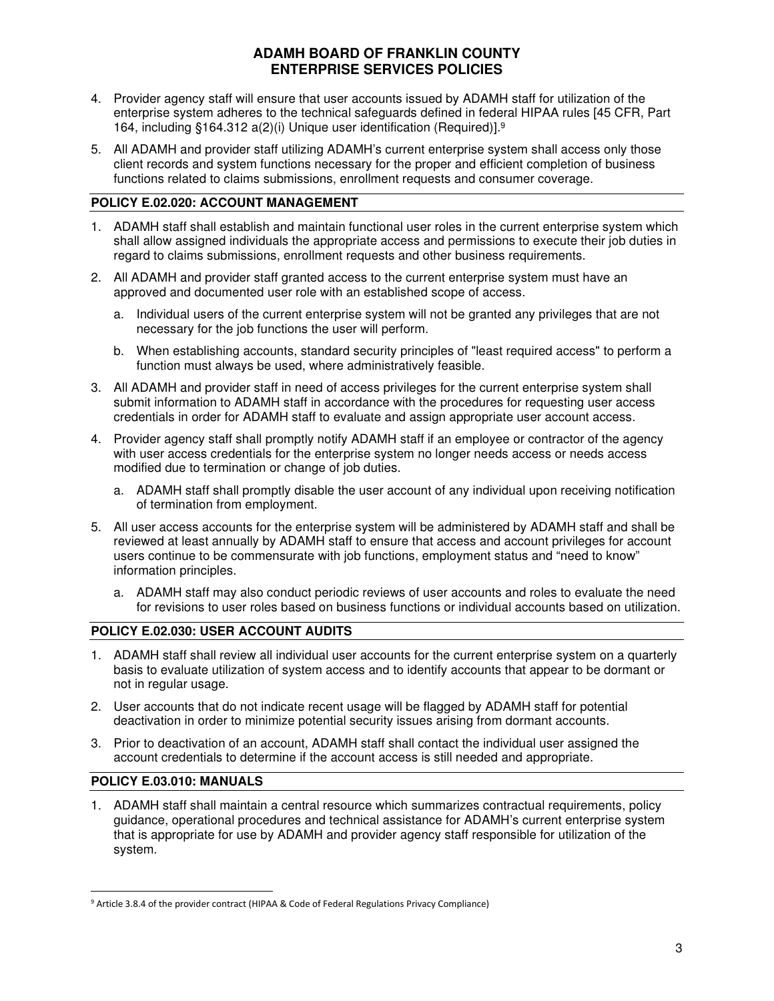- 4. Provider agency staff will ensure that user accounts issued by ADAMH staff for utilization of the enterprise system adheres to the technical safeguards defined in federal HIPAA rules [45 CFR, Part 164, including §164.312 a(2)(i) Unique user identification (Required)].<sup>9</sup>
- 5. All ADAMH and provider staff utilizing ADAMH's current enterprise system shall access only those client records and system functions necessary for the proper and efficient completion of business functions related to claims submissions, enrollment requests and consumer coverage.

### **POLICY E.02.020: ACCOUNT MANAGEMENT**

- 1. ADAMH staff shall establish and maintain functional user roles in the current enterprise system which shall allow assigned individuals the appropriate access and permissions to execute their job duties in regard to claims submissions, enrollment requests and other business requirements.
- 2. All ADAMH and provider staff granted access to the current enterprise system must have an approved and documented user role with an established scope of access.
	- a. Individual users of the current enterprise system will not be granted any privileges that are not necessary for the job functions the user will perform.
	- b. When establishing accounts, standard security principles of "least required access" to perform a function must always be used, where administratively feasible.
- 3. All ADAMH and provider staff in need of access privileges for the current enterprise system shall submit information to ADAMH staff in accordance with the procedures for requesting user access credentials in order for ADAMH staff to evaluate and assign appropriate user account access.
- 4. Provider agency staff shall promptly notify ADAMH staff if an employee or contractor of the agency with user access credentials for the enterprise system no longer needs access or needs access modified due to termination or change of job duties.
	- a. ADAMH staff shall promptly disable the user account of any individual upon receiving notification of termination from employment.
- 5. All user access accounts for the enterprise system will be administered by ADAMH staff and shall be reviewed at least annually by ADAMH staff to ensure that access and account privileges for account users continue to be commensurate with job functions, employment status and "need to know" information principles.
	- a. ADAMH staff may also conduct periodic reviews of user accounts and roles to evaluate the need for revisions to user roles based on business functions or individual accounts based on utilization.

## **POLICY E.02.030: USER ACCOUNT AUDITS**

- 1. ADAMH staff shall review all individual user accounts for the current enterprise system on a quarterly basis to evaluate utilization of system access and to identify accounts that appear to be dormant or not in regular usage.
- 2. User accounts that do not indicate recent usage will be flagged by ADAMH staff for potential deactivation in order to minimize potential security issues arising from dormant accounts.
- 3. Prior to deactivation of an account, ADAMH staff shall contact the individual user assigned the account credentials to determine if the account access is still needed and appropriate.

#### **POLICY E.03.010: MANUALS**

1. ADAMH staff shall maintain a central resource which summarizes contractual requirements, policy guidance, operational procedures and technical assistance for ADAMH's current enterprise system that is appropriate for use by ADAMH and provider agency staff responsible for utilization of the system.

<sup>&</sup>lt;sup>9</sup> Article 3.8.4 of the provider contract (HIPAA & Code of Federal Regulations Privacy Compliance)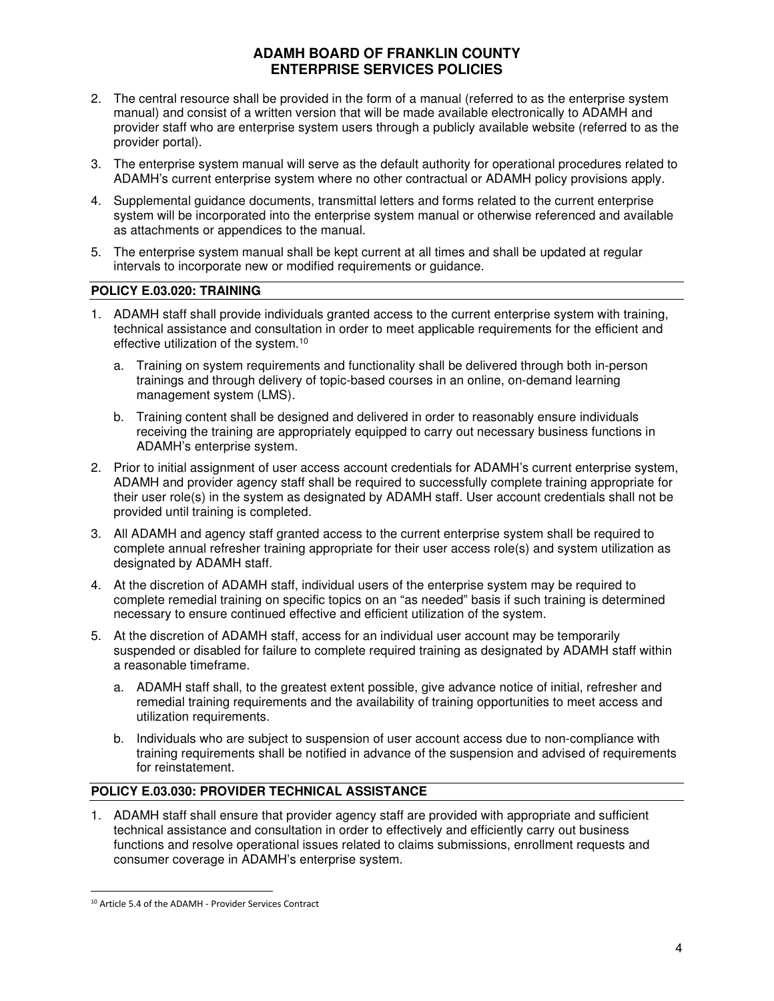- 2. The central resource shall be provided in the form of a manual (referred to as the enterprise system manual) and consist of a written version that will be made available electronically to ADAMH and provider staff who are enterprise system users through a publicly available website (referred to as the provider portal).
- 3. The enterprise system manual will serve as the default authority for operational procedures related to ADAMH's current enterprise system where no other contractual or ADAMH policy provisions apply.
- 4. Supplemental guidance documents, transmittal letters and forms related to the current enterprise system will be incorporated into the enterprise system manual or otherwise referenced and available as attachments or appendices to the manual.
- 5. The enterprise system manual shall be kept current at all times and shall be updated at regular intervals to incorporate new or modified requirements or guidance.

#### **POLICY E.03.020: TRAINING**

- 1. ADAMH staff shall provide individuals granted access to the current enterprise system with training, technical assistance and consultation in order to meet applicable requirements for the efficient and effective utilization of the system.<sup>10</sup>
	- a. Training on system requirements and functionality shall be delivered through both in-person trainings and through delivery of topic-based courses in an online, on-demand learning management system (LMS).
	- b. Training content shall be designed and delivered in order to reasonably ensure individuals receiving the training are appropriately equipped to carry out necessary business functions in ADAMH's enterprise system.
- 2. Prior to initial assignment of user access account credentials for ADAMH's current enterprise system, ADAMH and provider agency staff shall be required to successfully complete training appropriate for their user role(s) in the system as designated by ADAMH staff. User account credentials shall not be provided until training is completed.
- 3. All ADAMH and agency staff granted access to the current enterprise system shall be required to complete annual refresher training appropriate for their user access role(s) and system utilization as designated by ADAMH staff.
- 4. At the discretion of ADAMH staff, individual users of the enterprise system may be required to complete remedial training on specific topics on an "as needed" basis if such training is determined necessary to ensure continued effective and efficient utilization of the system.
- 5. At the discretion of ADAMH staff, access for an individual user account may be temporarily suspended or disabled for failure to complete required training as designated by ADAMH staff within a reasonable timeframe.
	- a. ADAMH staff shall, to the greatest extent possible, give advance notice of initial, refresher and remedial training requirements and the availability of training opportunities to meet access and utilization requirements.
	- b. Individuals who are subject to suspension of user account access due to non-compliance with training requirements shall be notified in advance of the suspension and advised of requirements for reinstatement.

#### **POLICY E.03.030: PROVIDER TECHNICAL ASSISTANCE**

1. ADAMH staff shall ensure that provider agency staff are provided with appropriate and sufficient technical assistance and consultation in order to effectively and efficiently carry out business functions and resolve operational issues related to claims submissions, enrollment requests and consumer coverage in ADAMH's enterprise system.

<sup>10</sup> Article 5.4 of the ADAMH - Provider Services Contract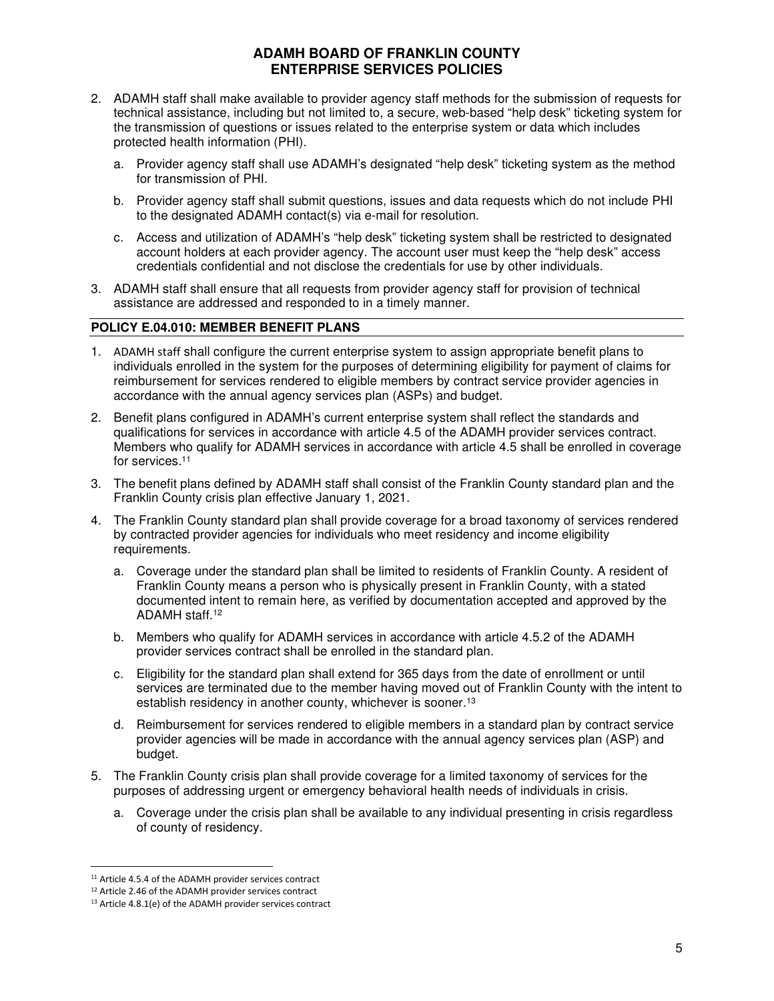- 2. ADAMH staff shall make available to provider agency staff methods for the submission of requests for technical assistance, including but not limited to, a secure, web-based "help desk" ticketing system for the transmission of questions or issues related to the enterprise system or data which includes protected health information (PHI).
	- a. Provider agency staff shall use ADAMH's designated "help desk" ticketing system as the method for transmission of PHI.
	- b. Provider agency staff shall submit questions, issues and data requests which do not include PHI to the designated ADAMH contact(s) via e-mail for resolution.
	- c. Access and utilization of ADAMH's "help desk" ticketing system shall be restricted to designated account holders at each provider agency. The account user must keep the "help desk" access credentials confidential and not disclose the credentials for use by other individuals.
- 3. ADAMH staff shall ensure that all requests from provider agency staff for provision of technical assistance are addressed and responded to in a timely manner.

### **POLICY E.04.010: MEMBER BENEFIT PLANS**

- 1. ADAMH staff shall configure the current enterprise system to assign appropriate benefit plans to individuals enrolled in the system for the purposes of determining eligibility for payment of claims for reimbursement for services rendered to eligible members by contract service provider agencies in accordance with the annual agency services plan (ASPs) and budget.
- 2. Benefit plans configured in ADAMH's current enterprise system shall reflect the standards and qualifications for services in accordance with article 4.5 of the ADAMH provider services contract. Members who qualify for ADAMH services in accordance with article 4.5 shall be enrolled in coverage for services.<sup>11</sup>
- 3. The benefit plans defined by ADAMH staff shall consist of the Franklin County standard plan and the Franklin County crisis plan effective January 1, 2021.
- 4. The Franklin County standard plan shall provide coverage for a broad taxonomy of services rendered by contracted provider agencies for individuals who meet residency and income eligibility requirements.
	- a. Coverage under the standard plan shall be limited to residents of Franklin County. A resident of Franklin County means a person who is physically present in Franklin County, with a stated documented intent to remain here, as verified by documentation accepted and approved by the ADAMH staff.<sup>12</sup>
	- b. Members who qualify for ADAMH services in accordance with article 4.5.2 of the ADAMH provider services contract shall be enrolled in the standard plan.
	- c. Eligibility for the standard plan shall extend for 365 days from the date of enrollment or until services are terminated due to the member having moved out of Franklin County with the intent to establish residency in another county, whichever is sooner.<sup>13</sup>
	- d. Reimbursement for services rendered to eligible members in a standard plan by contract service provider agencies will be made in accordance with the annual agency services plan (ASP) and budget.
- 5. The Franklin County crisis plan shall provide coverage for a limited taxonomy of services for the purposes of addressing urgent or emergency behavioral health needs of individuals in crisis.
	- a. Coverage under the crisis plan shall be available to any individual presenting in crisis regardless of county of residency.

<sup>&</sup>lt;sup>11</sup> Article 4.5.4 of the ADAMH provider services contract

<sup>12</sup> Article 2.46 of the ADAMH provider services contract

<sup>13</sup> Article 4.8.1(e) of the ADAMH provider services contract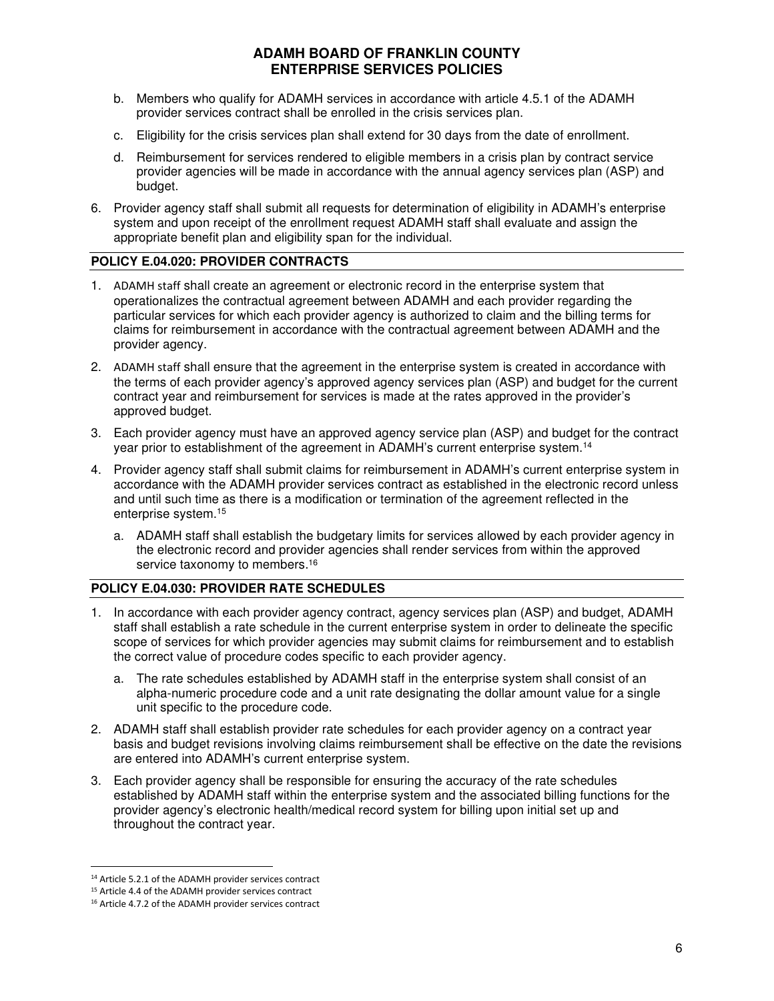- b. Members who qualify for ADAMH services in accordance with article 4.5.1 of the ADAMH provider services contract shall be enrolled in the crisis services plan.
- c. Eligibility for the crisis services plan shall extend for 30 days from the date of enrollment.
- d. Reimbursement for services rendered to eligible members in a crisis plan by contract service provider agencies will be made in accordance with the annual agency services plan (ASP) and budget.
- 6. Provider agency staff shall submit all requests for determination of eligibility in ADAMH's enterprise system and upon receipt of the enrollment request ADAMH staff shall evaluate and assign the appropriate benefit plan and eligibility span for the individual.

### **POLICY E.04.020: PROVIDER CONTRACTS**

- 1. ADAMH staff shall create an agreement or electronic record in the enterprise system that operationalizes the contractual agreement between ADAMH and each provider regarding the particular services for which each provider agency is authorized to claim and the billing terms for claims for reimbursement in accordance with the contractual agreement between ADAMH and the provider agency.
- 2. ADAMH staff shall ensure that the agreement in the enterprise system is created in accordance with the terms of each provider agency's approved agency services plan (ASP) and budget for the current contract year and reimbursement for services is made at the rates approved in the provider's approved budget.
- 3. Each provider agency must have an approved agency service plan (ASP) and budget for the contract year prior to establishment of the agreement in ADAMH's current enterprise system.<sup>14</sup>
- 4. Provider agency staff shall submit claims for reimbursement in ADAMH's current enterprise system in accordance with the ADAMH provider services contract as established in the electronic record unless and until such time as there is a modification or termination of the agreement reflected in the enterprise system.<sup>15</sup>
	- a. ADAMH staff shall establish the budgetary limits for services allowed by each provider agency in the electronic record and provider agencies shall render services from within the approved service taxonomy to members.<sup>16</sup>

# **POLICY E.04.030: PROVIDER RATE SCHEDULES**

- 1. In accordance with each provider agency contract, agency services plan (ASP) and budget, ADAMH staff shall establish a rate schedule in the current enterprise system in order to delineate the specific scope of services for which provider agencies may submit claims for reimbursement and to establish the correct value of procedure codes specific to each provider agency.
	- a. The rate schedules established by ADAMH staff in the enterprise system shall consist of an alpha-numeric procedure code and a unit rate designating the dollar amount value for a single unit specific to the procedure code.
- 2. ADAMH staff shall establish provider rate schedules for each provider agency on a contract year basis and budget revisions involving claims reimbursement shall be effective on the date the revisions are entered into ADAMH's current enterprise system.
- 3. Each provider agency shall be responsible for ensuring the accuracy of the rate schedules established by ADAMH staff within the enterprise system and the associated billing functions for the provider agency's electronic health/medical record system for billing upon initial set up and throughout the contract year.

<sup>14</sup> Article 5.2.1 of the ADAMH provider services contract

<sup>15</sup> Article 4.4 of the ADAMH provider services contract

<sup>16</sup> Article 4.7.2 of the ADAMH provider services contract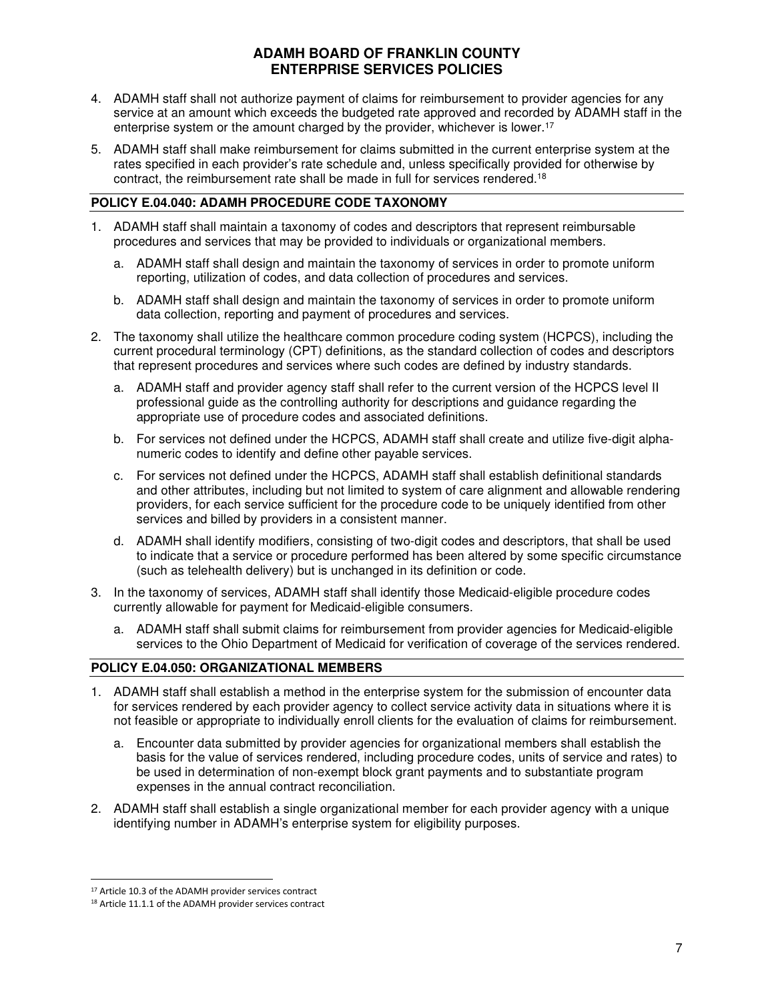- 4. ADAMH staff shall not authorize payment of claims for reimbursement to provider agencies for any service at an amount which exceeds the budgeted rate approved and recorded by ADAMH staff in the enterprise system or the amount charged by the provider, whichever is lower.<sup>17</sup>
- 5. ADAMH staff shall make reimbursement for claims submitted in the current enterprise system at the rates specified in each provider's rate schedule and, unless specifically provided for otherwise by contract, the reimbursement rate shall be made in full for services rendered.<sup>18</sup>

#### **POLICY E.04.040: ADAMH PROCEDURE CODE TAXONOMY**

- 1. ADAMH staff shall maintain a taxonomy of codes and descriptors that represent reimbursable procedures and services that may be provided to individuals or organizational members.
	- a. ADAMH staff shall design and maintain the taxonomy of services in order to promote uniform reporting, utilization of codes, and data collection of procedures and services.
	- b. ADAMH staff shall design and maintain the taxonomy of services in order to promote uniform data collection, reporting and payment of procedures and services.
- 2. The taxonomy shall utilize the healthcare common procedure coding system (HCPCS), including the current procedural terminology (CPT) definitions, as the standard collection of codes and descriptors that represent procedures and services where such codes are defined by industry standards.
	- a. ADAMH staff and provider agency staff shall refer to the current version of the HCPCS level II professional guide as the controlling authority for descriptions and guidance regarding the appropriate use of procedure codes and associated definitions.
	- b. For services not defined under the HCPCS, ADAMH staff shall create and utilize five-digit alphanumeric codes to identify and define other payable services.
	- c. For services not defined under the HCPCS, ADAMH staff shall establish definitional standards and other attributes, including but not limited to system of care alignment and allowable rendering providers, for each service sufficient for the procedure code to be uniquely identified from other services and billed by providers in a consistent manner.
	- d. ADAMH shall identify modifiers, consisting of two-digit codes and descriptors, that shall be used to indicate that a service or procedure performed has been altered by some specific circumstance (such as telehealth delivery) but is unchanged in its definition or code.
- 3. In the taxonomy of services, ADAMH staff shall identify those Medicaid-eligible procedure codes currently allowable for payment for Medicaid-eligible consumers.
	- a. ADAMH staff shall submit claims for reimbursement from provider agencies for Medicaid-eligible services to the Ohio Department of Medicaid for verification of coverage of the services rendered.

#### **POLICY E.04.050: ORGANIZATIONAL MEMBERS**

- 1. ADAMH staff shall establish a method in the enterprise system for the submission of encounter data for services rendered by each provider agency to collect service activity data in situations where it is not feasible or appropriate to individually enroll clients for the evaluation of claims for reimbursement.
	- a. Encounter data submitted by provider agencies for organizational members shall establish the basis for the value of services rendered, including procedure codes, units of service and rates) to be used in determination of non-exempt block grant payments and to substantiate program expenses in the annual contract reconciliation.
- 2. ADAMH staff shall establish a single organizational member for each provider agency with a unique identifying number in ADAMH's enterprise system for eligibility purposes.

<sup>&</sup>lt;sup>17</sup> Article 10.3 of the ADAMH provider services contract

<sup>18</sup> Article 11.1.1 of the ADAMH provider services contract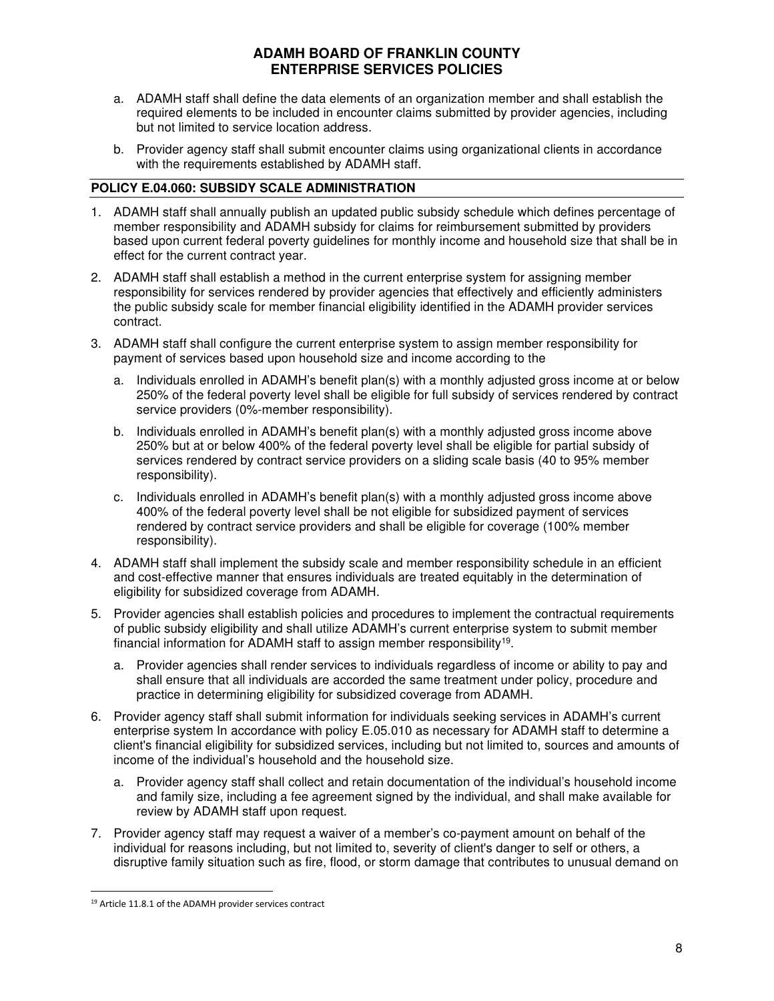- a. ADAMH staff shall define the data elements of an organization member and shall establish the required elements to be included in encounter claims submitted by provider agencies, including but not limited to service location address.
- b. Provider agency staff shall submit encounter claims using organizational clients in accordance with the requirements established by ADAMH staff.

### **POLICY E.04.060: SUBSIDY SCALE ADMINISTRATION**

- 1. ADAMH staff shall annually publish an updated public subsidy schedule which defines percentage of member responsibility and ADAMH subsidy for claims for reimbursement submitted by providers based upon current federal poverty guidelines for monthly income and household size that shall be in effect for the current contract year.
- 2. ADAMH staff shall establish a method in the current enterprise system for assigning member responsibility for services rendered by provider agencies that effectively and efficiently administers the public subsidy scale for member financial eligibility identified in the ADAMH provider services contract.
- 3. ADAMH staff shall configure the current enterprise system to assign member responsibility for payment of services based upon household size and income according to the
	- a. Individuals enrolled in ADAMH's benefit plan(s) with a monthly adjusted gross income at or below 250% of the federal poverty level shall be eligible for full subsidy of services rendered by contract service providers (0%-member responsibility).
	- b. Individuals enrolled in ADAMH's benefit plan(s) with a monthly adjusted gross income above 250% but at or below 400% of the federal poverty level shall be eligible for partial subsidy of services rendered by contract service providers on a sliding scale basis (40 to 95% member responsibility).
	- c. Individuals enrolled in ADAMH's benefit plan(s) with a monthly adjusted gross income above 400% of the federal poverty level shall be not eligible for subsidized payment of services rendered by contract service providers and shall be eligible for coverage (100% member responsibility).
- 4. ADAMH staff shall implement the subsidy scale and member responsibility schedule in an efficient and cost-effective manner that ensures individuals are treated equitably in the determination of eligibility for subsidized coverage from ADAMH.
- 5. Provider agencies shall establish policies and procedures to implement the contractual requirements of public subsidy eligibility and shall utilize ADAMH's current enterprise system to submit member financial information for ADAMH staff to assign member responsibility<sup>19</sup>.
	- a. Provider agencies shall render services to individuals regardless of income or ability to pay and shall ensure that all individuals are accorded the same treatment under policy, procedure and practice in determining eligibility for subsidized coverage from ADAMH.
- 6. Provider agency staff shall submit information for individuals seeking services in ADAMH's current enterprise system In accordance with policy E.05.010 as necessary for ADAMH staff to determine a client's financial eligibility for subsidized services, including but not limited to, sources and amounts of income of the individual's household and the household size.
	- a. Provider agency staff shall collect and retain documentation of the individual's household income and family size, including a fee agreement signed by the individual, and shall make available for review by ADAMH staff upon request.
- 7. Provider agency staff may request a waiver of a member's co-payment amount on behalf of the individual for reasons including, but not limited to, severity of client's danger to self or others, a disruptive family situation such as fire, flood, or storm damage that contributes to unusual demand on

<sup>19</sup> Article 11.8.1 of the ADAMH provider services contract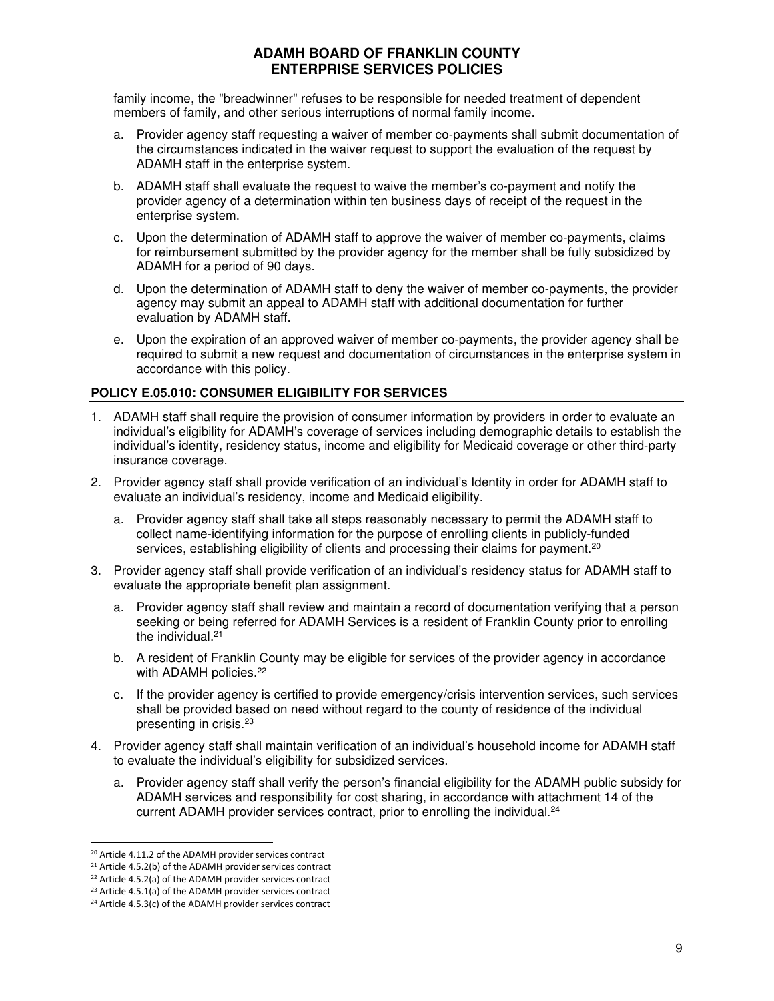family income, the "breadwinner" refuses to be responsible for needed treatment of dependent members of family, and other serious interruptions of normal family income.

- a. Provider agency staff requesting a waiver of member co-payments shall submit documentation of the circumstances indicated in the waiver request to support the evaluation of the request by ADAMH staff in the enterprise system.
- b. ADAMH staff shall evaluate the request to waive the member's co-payment and notify the provider agency of a determination within ten business days of receipt of the request in the enterprise system.
- c. Upon the determination of ADAMH staff to approve the waiver of member co-payments, claims for reimbursement submitted by the provider agency for the member shall be fully subsidized by ADAMH for a period of 90 days.
- d. Upon the determination of ADAMH staff to deny the waiver of member co-payments, the provider agency may submit an appeal to ADAMH staff with additional documentation for further evaluation by ADAMH staff.
- e. Upon the expiration of an approved waiver of member co-payments, the provider agency shall be required to submit a new request and documentation of circumstances in the enterprise system in accordance with this policy.

# **POLICY E.05.010: CONSUMER ELIGIBILITY FOR SERVICES**

- 1. ADAMH staff shall require the provision of consumer information by providers in order to evaluate an individual's eligibility for ADAMH's coverage of services including demographic details to establish the individual's identity, residency status, income and eligibility for Medicaid coverage or other third-party insurance coverage.
- 2. Provider agency staff shall provide verification of an individual's Identity in order for ADAMH staff to evaluate an individual's residency, income and Medicaid eligibility.
	- a. Provider agency staff shall take all steps reasonably necessary to permit the ADAMH staff to collect name-identifying information for the purpose of enrolling clients in publicly-funded services, establishing eligibility of clients and processing their claims for payment.<sup>20</sup>
- 3. Provider agency staff shall provide verification of an individual's residency status for ADAMH staff to evaluate the appropriate benefit plan assignment.
	- a. Provider agency staff shall review and maintain a record of documentation verifying that a person seeking or being referred for ADAMH Services is a resident of Franklin County prior to enrolling the individual.<sup>21</sup>
	- b. A resident of Franklin County may be eligible for services of the provider agency in accordance with ADAMH policies.<sup>22</sup>
	- c. If the provider agency is certified to provide emergency/crisis intervention services, such services shall be provided based on need without regard to the county of residence of the individual presenting in crisis.<sup>23</sup>
- 4. Provider agency staff shall maintain verification of an individual's household income for ADAMH staff to evaluate the individual's eligibility for subsidized services.
	- a. Provider agency staff shall verify the person's financial eligibility for the ADAMH public subsidy for ADAMH services and responsibility for cost sharing, in accordance with attachment 14 of the current ADAMH provider services contract, prior to enrolling the individual.<sup>24</sup>

<sup>20</sup> Article 4.11.2 of the ADAMH provider services contract

<sup>&</sup>lt;sup>21</sup> Article 4.5.2(b) of the ADAMH provider services contract

<sup>22</sup> Article 4.5.2(a) of the ADAMH provider services contract

<sup>&</sup>lt;sup>23</sup> Article 4.5.1(a) of the ADAMH provider services contract

<sup>24</sup> Article 4.5.3(c) of the ADAMH provider services contract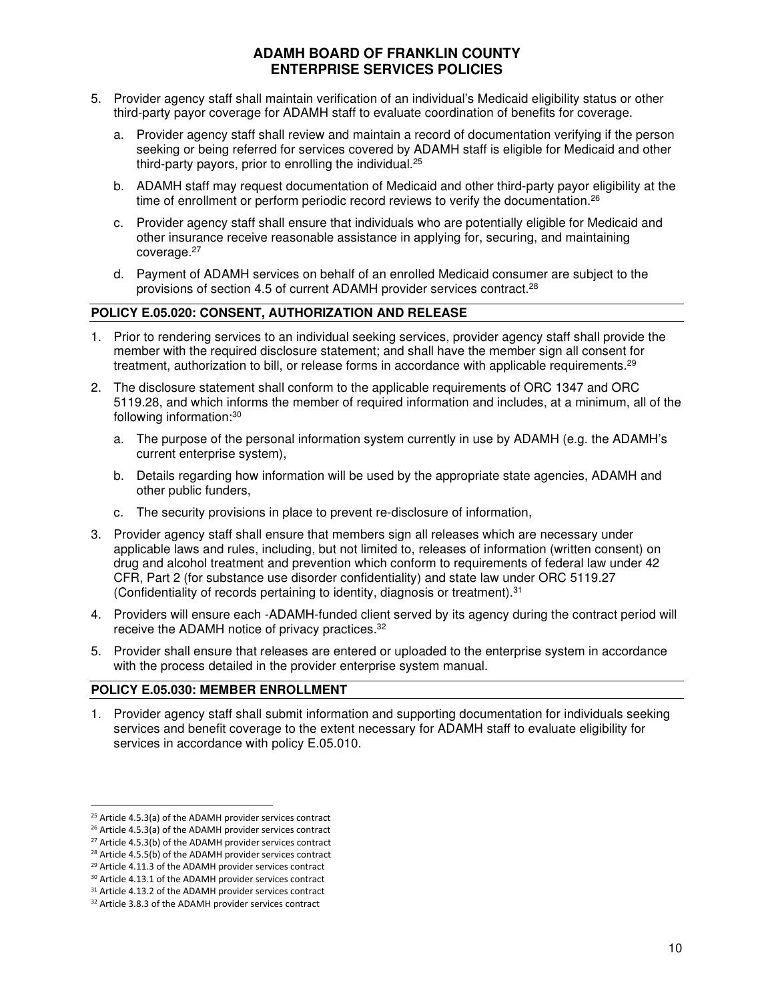- 5. Provider agency staff shall maintain verification of an individual's Medicaid eligibility status or other third-party payor coverage for ADAMH staff to evaluate coordination of benefits for coverage.
	- a. Provider agency staff shall review and maintain a record of documentation verifying if the person seeking or being referred for services covered by ADAMH staff is eligible for Medicaid and other third-party payors, prior to enrolling the individual.<sup>25</sup>
	- b. ADAMH staff may request documentation of Medicaid and other third-party payor eligibility at the time of enrollment or perform periodic record reviews to verify the documentation.<sup>26</sup>
	- c. Provider agency staff shall ensure that individuals who are potentially eligible for Medicaid and other insurance receive reasonable assistance in applying for, securing, and maintaining coverage.<sup>27</sup>
	- d. Payment of ADAMH services on behalf of an enrolled Medicaid consumer are subject to the provisions of section 4.5 of current ADAMH provider services contract.<sup>28</sup>

#### **POLICY E.05.020: CONSENT, AUTHORIZATION AND RELEASE**

- 1. Prior to rendering services to an individual seeking services, provider agency staff shall provide the member with the required disclosure statement; and shall have the member sign all consent for treatment, authorization to bill, or release forms in accordance with applicable requirements.<sup>29</sup>
- 2. The disclosure statement shall conform to the applicable requirements of ORC 1347 and ORC 5119.28, and which informs the member of required information and includes, at a minimum, all of the following information:<sup>30</sup>
	- a. The purpose of the personal information system currently in use by ADAMH (e.g. the ADAMH's current enterprise system),
	- b. Details regarding how information will be used by the appropriate state agencies, ADAMH and other public funders,
	- c. The security provisions in place to prevent re-disclosure of information,
- 3. Provider agency staff shall ensure that members sign all releases which are necessary under applicable laws and rules, including, but not limited to, releases of information (written consent) on drug and alcohol treatment and prevention which conform to requirements of federal law under 42 CFR, Part 2 (for substance use disorder confidentiality) and state law under ORC 5119.27 (Confidentiality of records pertaining to identity, diagnosis or treatment).<sup>31</sup>
- 4. Providers will ensure each -ADAMH-funded client served by its agency during the contract period will receive the ADAMH notice of privacy practices.<sup>32</sup>
- 5. Provider shall ensure that releases are entered or uploaded to the enterprise system in accordance with the process detailed in the provider enterprise system manual.

#### **POLICY E.05.030: MEMBER ENROLLMENT**

1. Provider agency staff shall submit information and supporting documentation for individuals seeking services and benefit coverage to the extent necessary for ADAMH staff to evaluate eligibility for services in accordance with policy E.05.010.

<sup>25</sup> Article 4.5.3(a) of the ADAMH provider services contract

<sup>26</sup> Article 4.5.3(a) of the ADAMH provider services contract

 $27$  Article 4.5.3(b) of the ADAMH provider services contract

<sup>&</sup>lt;sup>28</sup> Article 4.5.5(b) of the ADAMH provider services contract

<sup>29</sup> Article 4.11.3 of the ADAMH provider services contract <sup>30</sup> Article 4.13.1 of the ADAMH provider services contract

<sup>&</sup>lt;sup>31</sup> Article 4.13.2 of the ADAMH provider services contract

<sup>&</sup>lt;sup>32</sup> Article 3.8.3 of the ADAMH provider services contract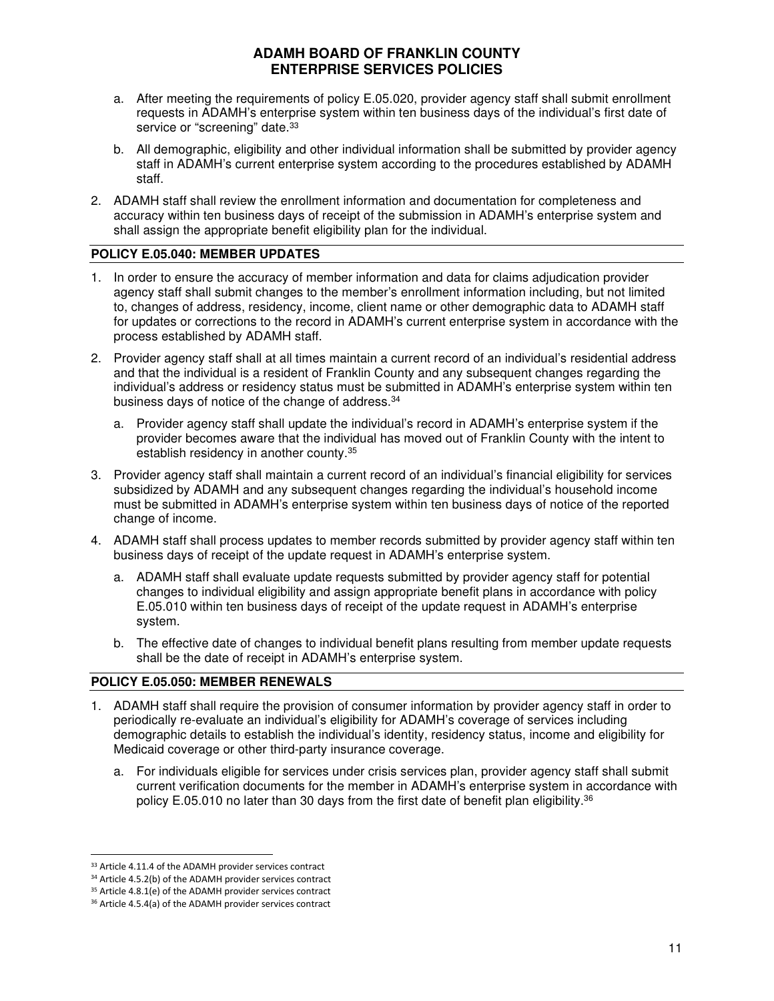- a. After meeting the requirements of policy E.05.020, provider agency staff shall submit enrollment requests in ADAMH's enterprise system within ten business days of the individual's first date of service or "screening" date.<sup>33</sup>
- b. All demographic, eligibility and other individual information shall be submitted by provider agency staff in ADAMH's current enterprise system according to the procedures established by ADAMH staff.
- 2. ADAMH staff shall review the enrollment information and documentation for completeness and accuracy within ten business days of receipt of the submission in ADAMH's enterprise system and shall assign the appropriate benefit eligibility plan for the individual.

### **POLICY E.05.040: MEMBER UPDATES**

- 1. In order to ensure the accuracy of member information and data for claims adjudication provider agency staff shall submit changes to the member's enrollment information including, but not limited to, changes of address, residency, income, client name or other demographic data to ADAMH staff for updates or corrections to the record in ADAMH's current enterprise system in accordance with the process established by ADAMH staff.
- 2. Provider agency staff shall at all times maintain a current record of an individual's residential address and that the individual is a resident of Franklin County and any subsequent changes regarding the individual's address or residency status must be submitted in ADAMH's enterprise system within ten business days of notice of the change of address.<sup>34</sup>
	- a. Provider agency staff shall update the individual's record in ADAMH's enterprise system if the provider becomes aware that the individual has moved out of Franklin County with the intent to establish residency in another county.<sup>35</sup>
- 3. Provider agency staff shall maintain a current record of an individual's financial eligibility for services subsidized by ADAMH and any subsequent changes regarding the individual's household income must be submitted in ADAMH's enterprise system within ten business days of notice of the reported change of income.
- 4. ADAMH staff shall process updates to member records submitted by provider agency staff within ten business days of receipt of the update request in ADAMH's enterprise system.
	- a. ADAMH staff shall evaluate update requests submitted by provider agency staff for potential changes to individual eligibility and assign appropriate benefit plans in accordance with policy E.05.010 within ten business days of receipt of the update request in ADAMH's enterprise system.
	- b. The effective date of changes to individual benefit plans resulting from member update requests shall be the date of receipt in ADAMH's enterprise system.

#### **POLICY E.05.050: MEMBER RENEWALS**

- 1. ADAMH staff shall require the provision of consumer information by provider agency staff in order to periodically re-evaluate an individual's eligibility for ADAMH's coverage of services including demographic details to establish the individual's identity, residency status, income and eligibility for Medicaid coverage or other third-party insurance coverage.
	- a. For individuals eligible for services under crisis services plan, provider agency staff shall submit current verification documents for the member in ADAMH's enterprise system in accordance with policy E.05.010 no later than 30 days from the first date of benefit plan eligibility.<sup>36</sup>

<sup>&</sup>lt;sup>33</sup> Article 4.11.4 of the ADAMH provider services contract

<sup>&</sup>lt;sup>34</sup> Article 4.5.2(b) of the ADAMH provider services contract

<sup>&</sup>lt;sup>35</sup> Article 4.8.1(e) of the ADAMH provider services contract

<sup>36</sup> Article 4.5.4(a) of the ADAMH provider services contract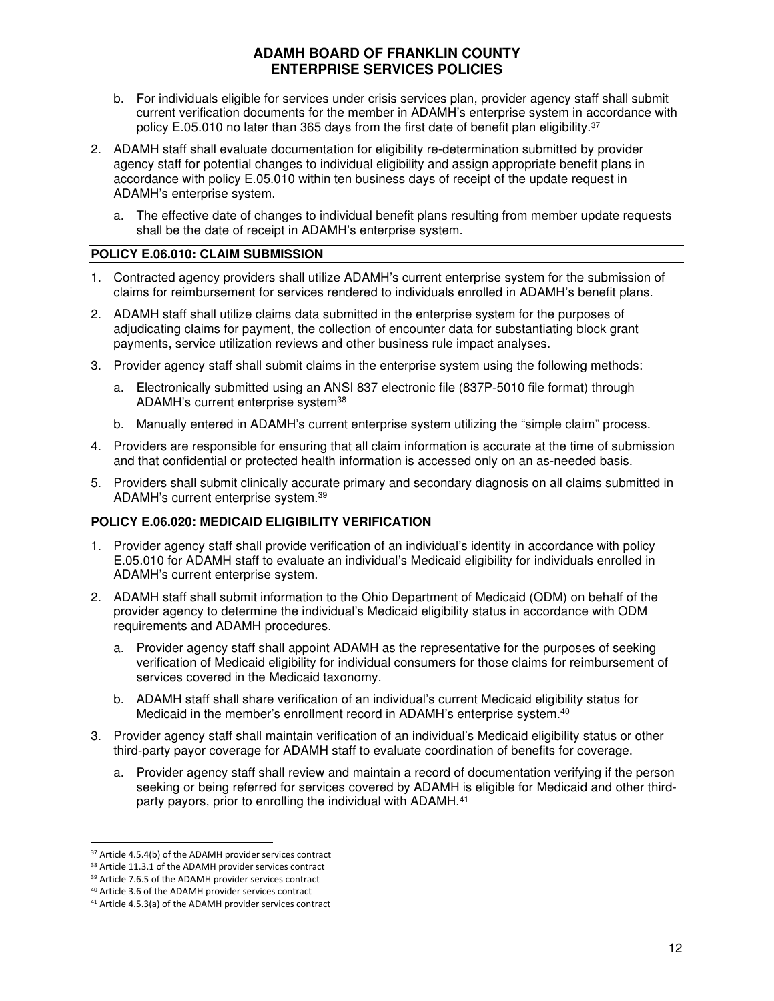- b. For individuals eligible for services under crisis services plan, provider agency staff shall submit current verification documents for the member in ADAMH's enterprise system in accordance with policy E.05.010 no later than 365 days from the first date of benefit plan eligibility.<sup>37</sup>
- 2. ADAMH staff shall evaluate documentation for eligibility re-determination submitted by provider agency staff for potential changes to individual eligibility and assign appropriate benefit plans in accordance with policy E.05.010 within ten business days of receipt of the update request in ADAMH's enterprise system.
	- a. The effective date of changes to individual benefit plans resulting from member update requests shall be the date of receipt in ADAMH's enterprise system.

#### **POLICY E.06.010: CLAIM SUBMISSION**

- 1. Contracted agency providers shall utilize ADAMH's current enterprise system for the submission of claims for reimbursement for services rendered to individuals enrolled in ADAMH's benefit plans.
- 2. ADAMH staff shall utilize claims data submitted in the enterprise system for the purposes of adjudicating claims for payment, the collection of encounter data for substantiating block grant payments, service utilization reviews and other business rule impact analyses.
- 3. Provider agency staff shall submit claims in the enterprise system using the following methods:
	- a. Electronically submitted using an ANSI 837 electronic file (837P-5010 file format) through ADAMH's current enterprise system<sup>38</sup>
	- b. Manually entered in ADAMH's current enterprise system utilizing the "simple claim" process.
- 4. Providers are responsible for ensuring that all claim information is accurate at the time of submission and that confidential or protected health information is accessed only on an as-needed basis.
- 5. Providers shall submit clinically accurate primary and secondary diagnosis on all claims submitted in ADAMH's current enterprise system.<sup>39</sup>

#### **POLICY E.06.020: MEDICAID ELIGIBILITY VERIFICATION**

- 1. Provider agency staff shall provide verification of an individual's identity in accordance with policy E.05.010 for ADAMH staff to evaluate an individual's Medicaid eligibility for individuals enrolled in ADAMH's current enterprise system.
- 2. ADAMH staff shall submit information to the Ohio Department of Medicaid (ODM) on behalf of the provider agency to determine the individual's Medicaid eligibility status in accordance with ODM requirements and ADAMH procedures.
	- a. Provider agency staff shall appoint ADAMH as the representative for the purposes of seeking verification of Medicaid eligibility for individual consumers for those claims for reimbursement of services covered in the Medicaid taxonomy.
	- b. ADAMH staff shall share verification of an individual's current Medicaid eligibility status for Medicaid in the member's enrollment record in ADAMH's enterprise system.<sup>40</sup>
- 3. Provider agency staff shall maintain verification of an individual's Medicaid eligibility status or other third-party payor coverage for ADAMH staff to evaluate coordination of benefits for coverage.
	- a. Provider agency staff shall review and maintain a record of documentation verifying if the person seeking or being referred for services covered by ADAMH is eligible for Medicaid and other thirdparty payors, prior to enrolling the individual with ADAMH.<sup>41</sup>

<sup>&</sup>lt;sup>37</sup> Article 4.5.4(b) of the ADAMH provider services contract

<sup>38</sup> Article 11.3.1 of the ADAMH provider services contract

<sup>&</sup>lt;sup>39</sup> Article 7.6.5 of the ADAMH provider services contract

<sup>40</sup> Article 3.6 of the ADAMH provider services contract

<sup>41</sup> Article 4.5.3(a) of the ADAMH provider services contract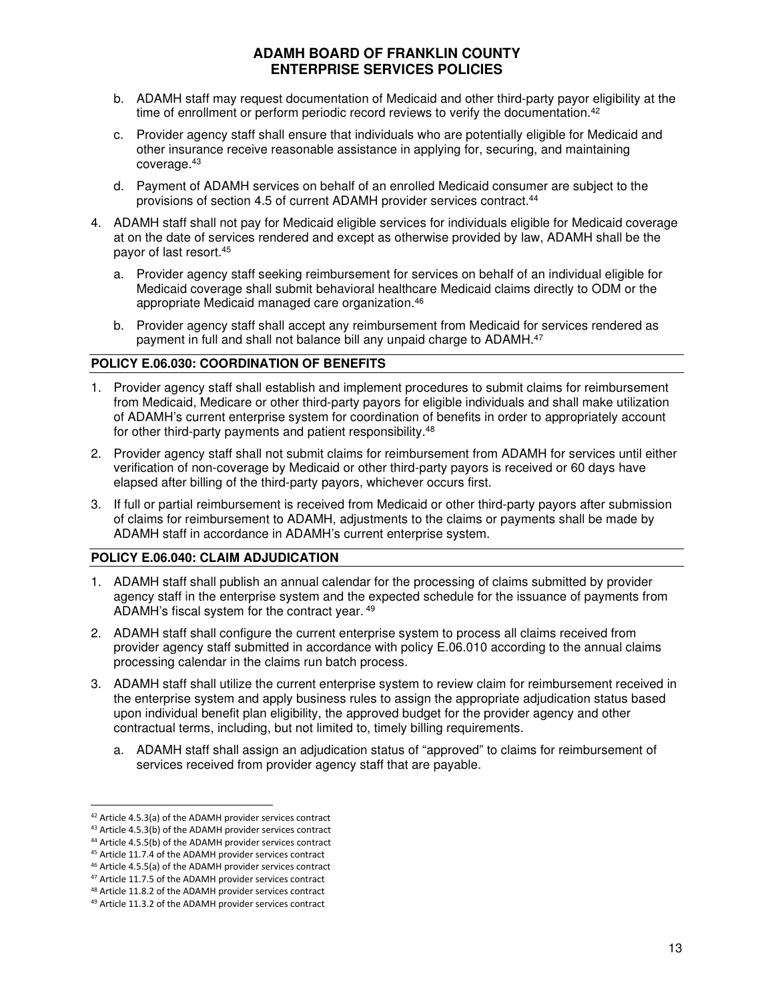- b. ADAMH staff may request documentation of Medicaid and other third-party payor eligibility at the time of enrollment or perform periodic record reviews to verify the documentation.<sup>42</sup>
- c. Provider agency staff shall ensure that individuals who are potentially eligible for Medicaid and other insurance receive reasonable assistance in applying for, securing, and maintaining coverage.<sup>43</sup>
- d. Payment of ADAMH services on behalf of an enrolled Medicaid consumer are subject to the provisions of section 4.5 of current ADAMH provider services contract.<sup>44</sup>
- 4. ADAMH staff shall not pay for Medicaid eligible services for individuals eligible for Medicaid coverage at on the date of services rendered and except as otherwise provided by law, ADAMH shall be the payor of last resort.<sup>45</sup>
	- a. Provider agency staff seeking reimbursement for services on behalf of an individual eligible for Medicaid coverage shall submit behavioral healthcare Medicaid claims directly to ODM or the appropriate Medicaid managed care organization.<sup>46</sup>
	- b. Provider agency staff shall accept any reimbursement from Medicaid for services rendered as payment in full and shall not balance bill any unpaid charge to ADAMH.<sup>47</sup>

### **POLICY E.06.030: COORDINATION OF BENEFITS**

- 1. Provider agency staff shall establish and implement procedures to submit claims for reimbursement from Medicaid, Medicare or other third-party payors for eligible individuals and shall make utilization of ADAMH's current enterprise system for coordination of benefits in order to appropriately account for other third-party payments and patient responsibility.<sup>48</sup>
- 2. Provider agency staff shall not submit claims for reimbursement from ADAMH for services until either verification of non-coverage by Medicaid or other third-party payors is received or 60 days have elapsed after billing of the third-party payors, whichever occurs first.
- 3. If full or partial reimbursement is received from Medicaid or other third-party payors after submission of claims for reimbursement to ADAMH, adjustments to the claims or payments shall be made by ADAMH staff in accordance in ADAMH's current enterprise system.

#### **POLICY E.06.040: CLAIM ADJUDICATION**

- 1. ADAMH staff shall publish an annual calendar for the processing of claims submitted by provider agency staff in the enterprise system and the expected schedule for the issuance of payments from ADAMH's fiscal system for the contract year. 49
- 2. ADAMH staff shall configure the current enterprise system to process all claims received from provider agency staff submitted in accordance with policy E.06.010 according to the annual claims processing calendar in the claims run batch process.
- 3. ADAMH staff shall utilize the current enterprise system to review claim for reimbursement received in the enterprise system and apply business rules to assign the appropriate adjudication status based upon individual benefit plan eligibility, the approved budget for the provider agency and other contractual terms, including, but not limited to, timely billing requirements.
	- a. ADAMH staff shall assign an adjudication status of "approved" to claims for reimbursement of services received from provider agency staff that are payable.

<sup>42</sup> Article 4.5.3(a) of the ADAMH provider services contract

<sup>43</sup> Article 4.5.3(b) of the ADAMH provider services contract

<sup>44</sup> Article 4.5.5(b) of the ADAMH provider services contract

<sup>45</sup> Article 11.7.4 of the ADAMH provider services contract

<sup>46</sup> Article 4.5.5(a) of the ADAMH provider services contract <sup>47</sup> Article 11.7.5 of the ADAMH provider services contract

<sup>48</sup> Article 11.8.2 of the ADAMH provider services contract

<sup>49</sup> Article 11.3.2 of the ADAMH provider services contract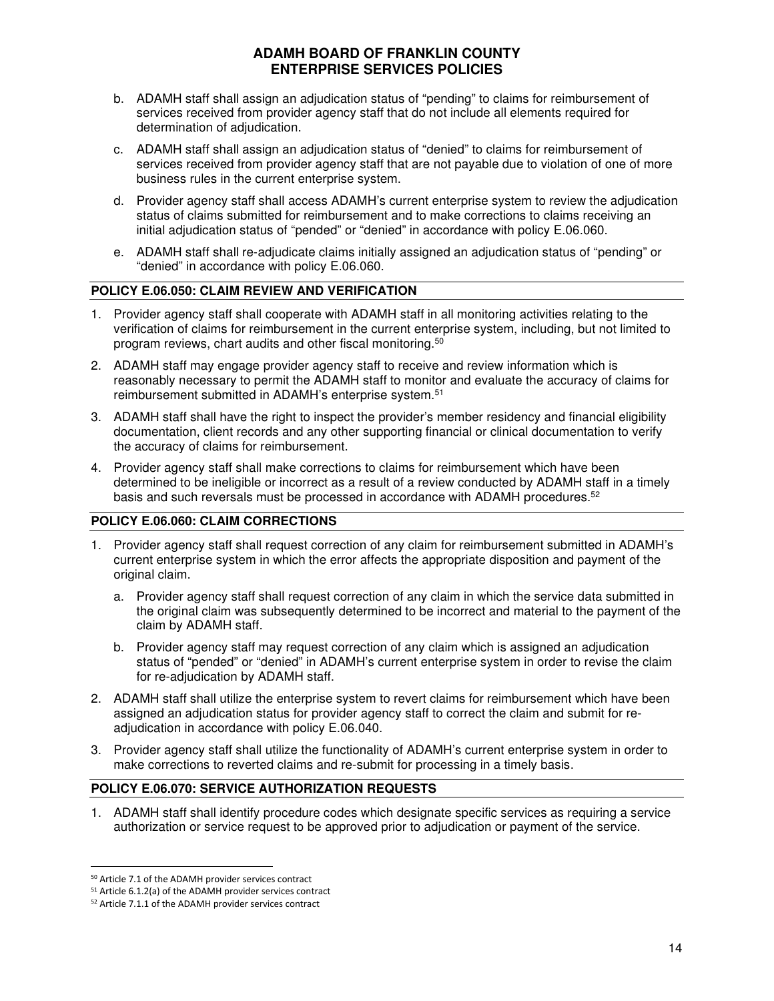- b. ADAMH staff shall assign an adjudication status of "pending" to claims for reimbursement of services received from provider agency staff that do not include all elements required for determination of adjudication.
- c. ADAMH staff shall assign an adjudication status of "denied" to claims for reimbursement of services received from provider agency staff that are not payable due to violation of one of more business rules in the current enterprise system.
- d. Provider agency staff shall access ADAMH's current enterprise system to review the adjudication status of claims submitted for reimbursement and to make corrections to claims receiving an initial adjudication status of "pended" or "denied" in accordance with policy E.06.060.
- e. ADAMH staff shall re-adjudicate claims initially assigned an adjudication status of "pending" or "denied" in accordance with policy E.06.060.

### **POLICY E.06.050: CLAIM REVIEW AND VERIFICATION**

- 1. Provider agency staff shall cooperate with ADAMH staff in all monitoring activities relating to the verification of claims for reimbursement in the current enterprise system, including, but not limited to program reviews, chart audits and other fiscal monitoring.<sup>50</sup>
- 2. ADAMH staff may engage provider agency staff to receive and review information which is reasonably necessary to permit the ADAMH staff to monitor and evaluate the accuracy of claims for reimbursement submitted in ADAMH's enterprise system.<sup>51</sup>
- 3. ADAMH staff shall have the right to inspect the provider's member residency and financial eligibility documentation, client records and any other supporting financial or clinical documentation to verify the accuracy of claims for reimbursement.
- 4. Provider agency staff shall make corrections to claims for reimbursement which have been determined to be ineligible or incorrect as a result of a review conducted by ADAMH staff in a timely basis and such reversals must be processed in accordance with ADAMH procedures.<sup>52</sup>

#### **POLICY E.06.060: CLAIM CORRECTIONS**

- 1. Provider agency staff shall request correction of any claim for reimbursement submitted in ADAMH's current enterprise system in which the error affects the appropriate disposition and payment of the original claim.
	- a. Provider agency staff shall request correction of any claim in which the service data submitted in the original claim was subsequently determined to be incorrect and material to the payment of the claim by ADAMH staff.
	- b. Provider agency staff may request correction of any claim which is assigned an adjudication status of "pended" or "denied" in ADAMH's current enterprise system in order to revise the claim for re-adjudication by ADAMH staff.
- 2. ADAMH staff shall utilize the enterprise system to revert claims for reimbursement which have been assigned an adjudication status for provider agency staff to correct the claim and submit for readjudication in accordance with policy E.06.040.
- 3. Provider agency staff shall utilize the functionality of ADAMH's current enterprise system in order to make corrections to reverted claims and re-submit for processing in a timely basis.

### **POLICY E.06.070: SERVICE AUTHORIZATION REQUESTS**

1. ADAMH staff shall identify procedure codes which designate specific services as requiring a service authorization or service request to be approved prior to adjudication or payment of the service.

<sup>50</sup> Article 7.1 of the ADAMH provider services contract

<sup>51</sup> Article 6.1.2(a) of the ADAMH provider services contract

<sup>52</sup> Article 7.1.1 of the ADAMH provider services contract